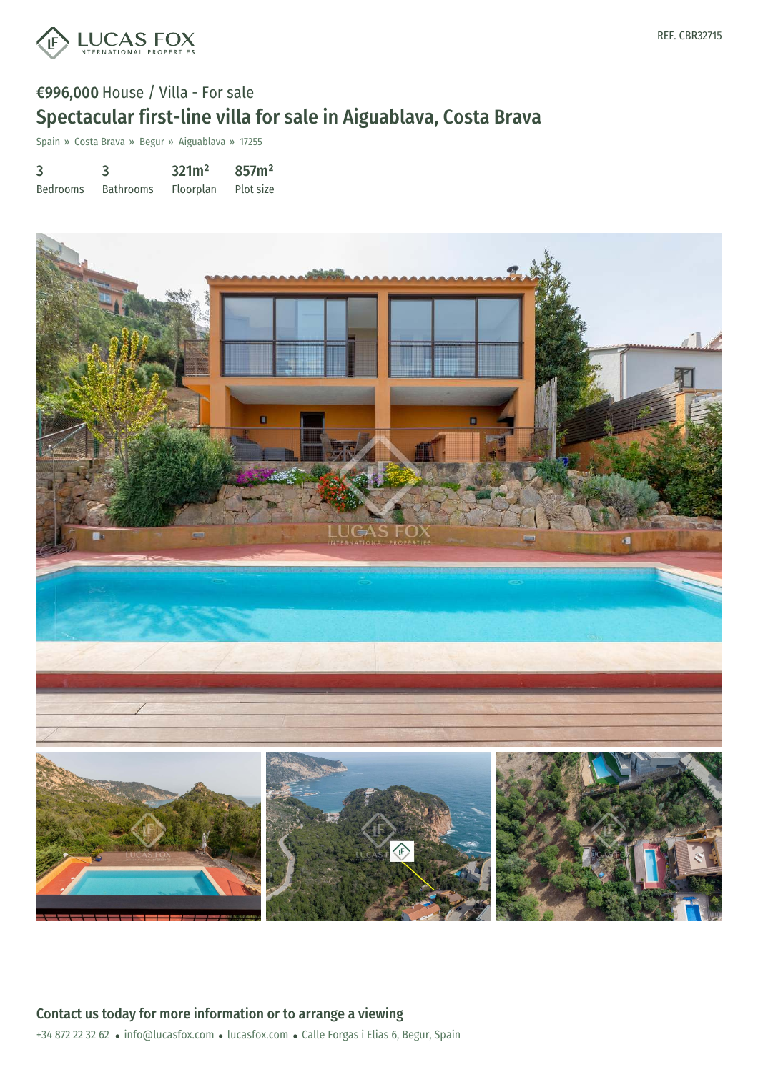

# €996,000 House / Villa - For sale Spectacular first-line villa for sale in Aiguablava, Costa Brava

Spain » Costa Brava » Begur » Aiguablava » 17255

3 Bedrooms 3 Bathrooms 321m² Floorplan 857m² Plot size

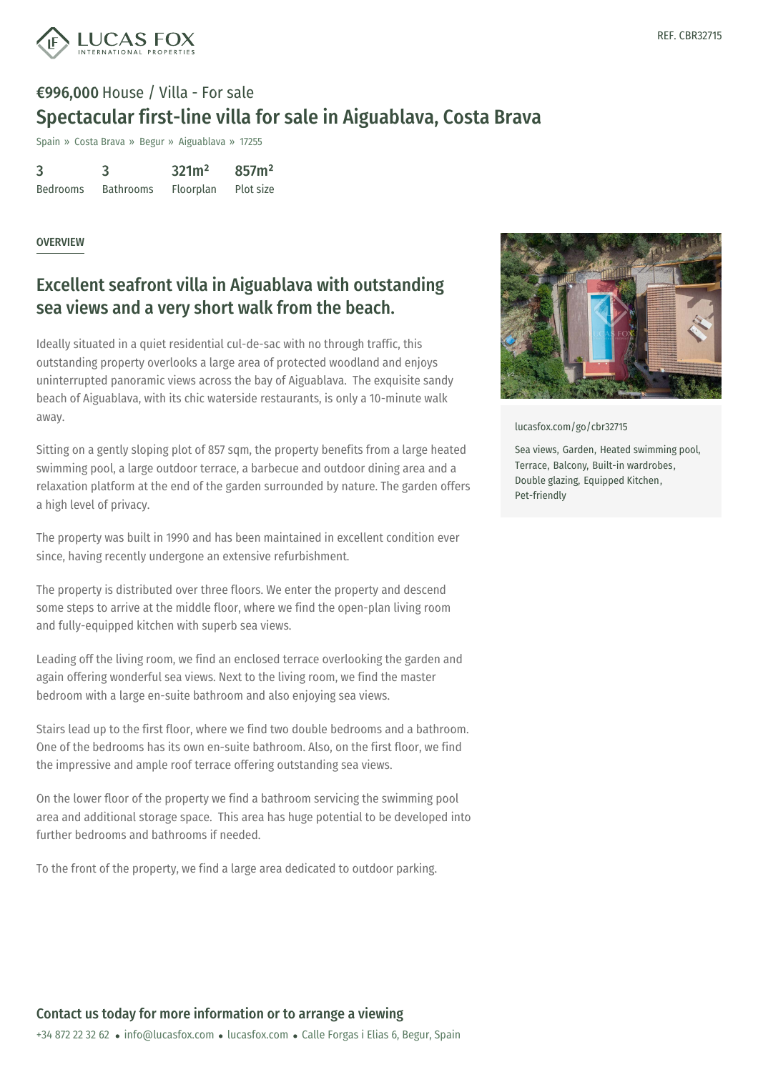

# €996,000 House / Villa - For sale Spectacular first-line villa for sale in Aiguablava, Costa Brava

Spain » Costa Brava » Begur » Aiguablava » 17255

| 3               | 3                | 321m <sup>2</sup> | 857m <sup>2</sup> |
|-----------------|------------------|-------------------|-------------------|
| <b>Bedrooms</b> | <b>Bathrooms</b> | Floorplan         | Plot size         |

#### OVERVIEW

### Excellent seafront villa in Aiguablava with outstanding sea views and a very short walk from the beach.

Ideally situated in a quiet residential cul-de-sac with no through traffic, this outstanding property overlooks a large area of protected woodland and enjoys uninterrupted panoramic views across the bay of Aiguablava. The exquisite sandy beach of Aiguablava, with its chic waterside restaurants, is only a 10-minute walk away.

Sitting on a gently sloping plot of 857 sqm, the property benefits from a large heated swimming pool, a large outdoor terrace, a barbecue and outdoor dining area and a relaxation platform at the end of the garden surrounded by nature. The garden offers a high level of privacy.

The property was built in 1990 and has been maintained in excellent condition ever since, having recently undergone an extensive refurbishment.

The property is distributed over three floors. We enter the property and descend some steps to arrive at the middle floor, where we find the open-plan living room and fully-equipped kitchen with superb sea views.

Leading off the living room, we find an enclosed terrace overlooking the garden and again offering wonderful sea views. Next to the living room, we find the master bedroom with a large en-suite bathroom and also enjoying sea views.

Stairs lead up to the first floor, where we find two double bedrooms and a bathroom. One of the bedrooms has its own en-suite bathroom. Also, on the first floor, we find the impressive and ample roof terrace offering outstanding sea views.

On the lower floor of the [property](mailto:info@lucasfox.com) we find a [bathr](https://www.lucasfox.com)oom servicing the swimming pool area and additional storage space. This area has huge potential to be developed into further bedrooms and bathrooms if needed.

To the front of the property, we find a large area dedicated to outdoor parking.



[lucasfox.com/go/cbr32715](https://www.lucasfox.com/go/cbr32715)

Sea views, Garden, Heated swimming pool, Terrace, Balcony, Built-in wardrobes, Double glazing, Equipped Kitchen, Pet-friendly